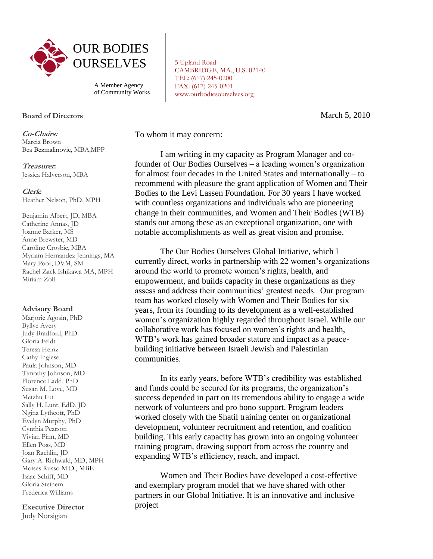

A Member Agency of Community Works

## **Board of Directors**

**Co-Chairs:** Marcia Brown Bea Bezmalinovic, MBA,MPP

**Treasurer:** Jessica Halverson, MBA

## **Clerk:**

Heather Nelson, PhD, MPH

Benjamin Albert, JD, MBA Catherine Annas, JD Joanne Barker, MS Anne Brewster, MD Caroline Crosbie, MBA Myriam Hernandez Jennings, MA Mary Poor, DVM, SM Rachel Zack Ishikawa MA, MPH Miriam Zoll

## **Advisory Board**

Marjorie Agosin, PhD Byllye Avery Judy Bradford, PhD Gloria Feldt Teresa Heinz Cathy Inglese Paula Johnson, MD Timothy Johnson, MD Florence Ladd, PhD Susan M. Love, MD Meizhu Lui Sally H. Lunt, EdD, JD Ngina Lythcott, PhD Evelyn Murphy, PhD Cynthia Pearson Vivian Pinn, MD Ellen Poss, MD Joan Rachlin, JD Gary A. Richwald, MD, MPH Moises Russo M.D., MBE Isaac Schiff, MD Gloria Steinem Frederica Williams

**Executive Director**

Judy Norsigian

5 Upland Road CAMBRIDGE, MA., U.S. 02140 TEL: (617) 245-0200 FAX: (617) 245-0201 www.ourbodiesourselves.org

March 5, 2010

To whom it may concern:

I am writing in my capacity as Program Manager and cofounder of Our Bodies Ourselves – a leading women's organization for almost four decades in the United States and internationally – to recommend with pleasure the grant application of Women and Their Bodies to the Levi Lassen Foundation. For 30 years I have worked with countless organizations and individuals who are pioneering change in their communities, and Women and Their Bodies (WTB) stands out among these as an exceptional organization, one with notable accomplishments as well as great vision and promise.

The Our Bodies Ourselves Global Initiative, which I currently direct, works in partnership with 22 women's organizations around the world to promote women's rights, health, and empowerment, and builds capacity in these organizations as they assess and address their communities' greatest needs. Our program team has worked closely with Women and Their Bodies for six years, from its founding to its development as a well-established women's organization highly regarded throughout Israel. While our collaborative work has focused on women's rights and health, WTB's work has gained broader stature and impact as a peacebuilding initiative between Israeli Jewish and Palestinian communities.

In its early years, before WTB's credibility was established and funds could be secured for its programs, the organization's success depended in part on its tremendous ability to engage a wide network of volunteers and pro bono support. Program leaders worked closely with the Shatil training center on organizational development, volunteer recruitment and retention, and coalition building. This early capacity has grown into an ongoing volunteer training program, drawing support from across the country and expanding WTB's efficiency, reach, and impact.

Women and Their Bodies have developed a cost-effective and exemplary program model that we have shared with other partners in our Global Initiative. It is an innovative and inclusive project